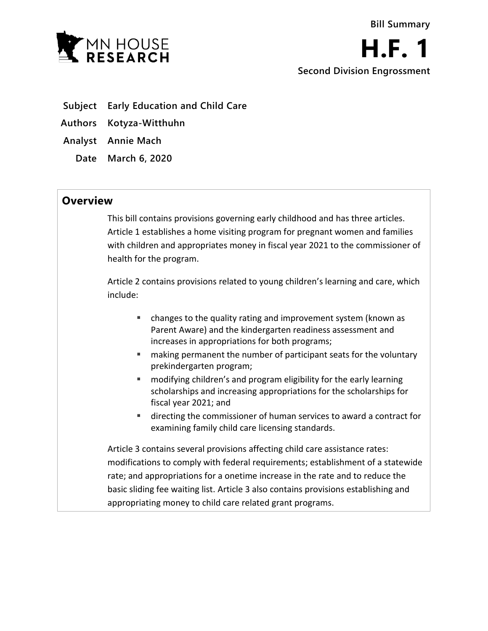

- **Subject Early Education and Child Care**
- **Authors Kotyza-Witthuhn**
- **Analyst Annie Mach**
	- **Date March 6, 2020**

## **Overview**

This bill contains provisions governing early childhood and has three articles. Article 1 establishes a home visiting program for pregnant women and families with children and appropriates money in fiscal year 2021 to the commissioner of health for the program.

Article 2 contains provisions related to young children's learning and care, which include:

- changes to the quality rating and improvement system (known as Parent Aware) and the kindergarten readiness assessment and increases in appropriations for both programs;
- **EXT** making permanent the number of participant seats for the voluntary prekindergarten program;
- **E** modifying children's and program eligibility for the early learning scholarships and increasing appropriations for the scholarships for fiscal year 2021; and
- directing the commissioner of human services to award a contract for examining family child care licensing standards.

Article 3 contains several provisions affecting child care assistance rates: modifications to comply with federal requirements; establishment of a statewide rate; and appropriations for a onetime increase in the rate and to reduce the basic sliding fee waiting list. Article 3 also contains provisions establishing and appropriating money to child care related grant programs.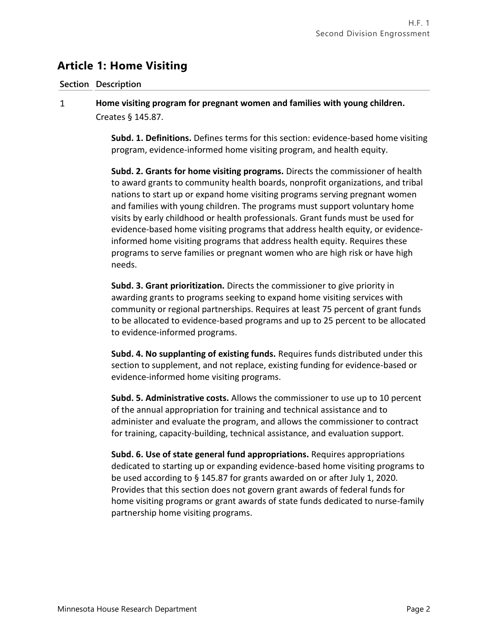# **Article 1: Home Visiting**

### **Section Description**

### $\mathbf{1}$ **Home visiting program for pregnant women and families with young children.** Creates § 145.87.

**Subd. 1. Definitions.** Defines terms for this section: evidence-based home visiting program, evidence-informed home visiting program, and health equity.

**Subd. 2. Grants for home visiting programs.** Directs the commissioner of health to award grants to community health boards, nonprofit organizations, and tribal nations to start up or expand home visiting programs serving pregnant women and families with young children. The programs must support voluntary home visits by early childhood or health professionals. Grant funds must be used for evidence-based home visiting programs that address health equity, or evidenceinformed home visiting programs that address health equity. Requires these programs to serve families or pregnant women who are high risk or have high needs.

**Subd. 3. Grant prioritization.** Directs the commissioner to give priority in awarding grants to programs seeking to expand home visiting services with community or regional partnerships. Requires at least 75 percent of grant funds to be allocated to evidence-based programs and up to 25 percent to be allocated to evidence-informed programs.

**Subd. 4. No supplanting of existing funds.** Requires funds distributed under this section to supplement, and not replace, existing funding for evidence-based or evidence-informed home visiting programs.

**Subd. 5. Administrative costs.** Allows the commissioner to use up to 10 percent of the annual appropriation for training and technical assistance and to administer and evaluate the program, and allows the commissioner to contract for training, capacity-building, technical assistance, and evaluation support.

**Subd. 6. Use of state general fund appropriations.** Requires appropriations dedicated to starting up or expanding evidence-based home visiting programs to be used according to § 145.87 for grants awarded on or after July 1, 2020. Provides that this section does not govern grant awards of federal funds for home visiting programs or grant awards of state funds dedicated to nurse-family partnership home visiting programs.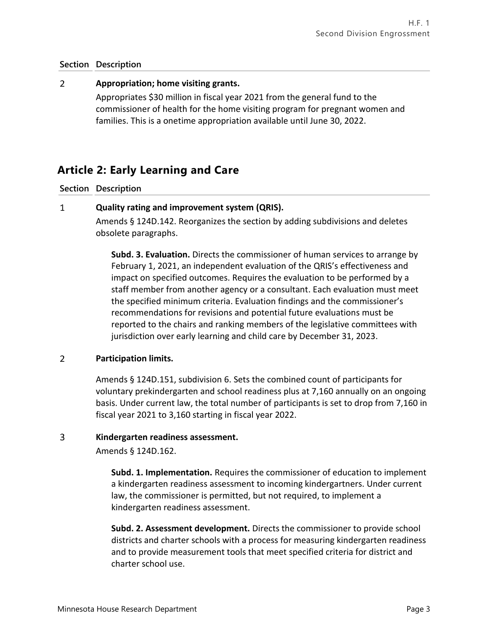### $\overline{2}$ **Appropriation; home visiting grants.**

Appropriates \$30 million in fiscal year 2021 from the general fund to the commissioner of health for the home visiting program for pregnant women and families. This is a onetime appropriation available until June 30, 2022.

# **Article 2: Early Learning and Care**

**Section Description**

### $\mathbf{1}$ **Quality rating and improvement system (QRIS).**

Amends § 124D.142. Reorganizes the section by adding subdivisions and deletes obsolete paragraphs.

**Subd. 3. Evaluation.** Directs the commissioner of human services to arrange by February 1, 2021, an independent evaluation of the QRIS's effectiveness and impact on specified outcomes. Requires the evaluation to be performed by a staff member from another agency or a consultant. Each evaluation must meet the specified minimum criteria. Evaluation findings and the commissioner's recommendations for revisions and potential future evaluations must be reported to the chairs and ranking members of the legislative committees with jurisdiction over early learning and child care by December 31, 2023.

### $\overline{2}$ **Participation limits.**

Amends § 124D.151, subdivision 6. Sets the combined count of participants for voluntary prekindergarten and school readiness plus at 7,160 annually on an ongoing basis. Under current law, the total number of participants is set to drop from 7,160 in fiscal year 2021 to 3,160 starting in fiscal year 2022.

### $\overline{3}$ **Kindergarten readiness assessment.**

Amends § 124D.162.

**Subd. 1. Implementation.** Requires the commissioner of education to implement a kindergarten readiness assessment to incoming kindergartners. Under current law, the commissioner is permitted, but not required, to implement a kindergarten readiness assessment.

**Subd. 2. Assessment development.** Directs the commissioner to provide school districts and charter schools with a process for measuring kindergarten readiness and to provide measurement tools that meet specified criteria for district and charter school use.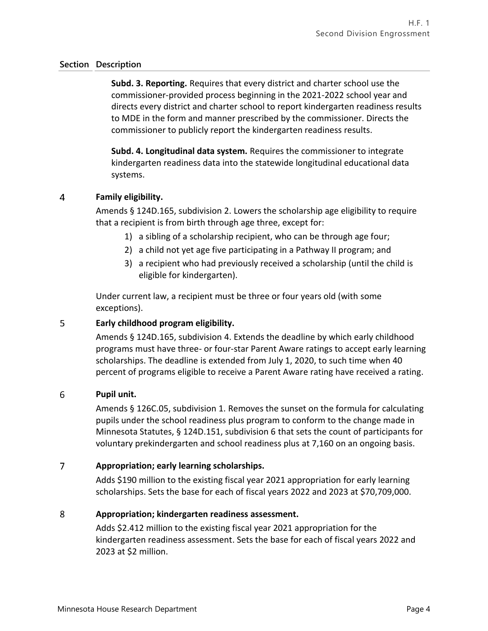**Subd. 3. Reporting.** Requires that every district and charter school use the commissioner-provided process beginning in the 2021-2022 school year and directs every district and charter school to report kindergarten readiness results to MDE in the form and manner prescribed by the commissioner. Directs the commissioner to publicly report the kindergarten readiness results.

**Subd. 4. Longitudinal data system.** Requires the commissioner to integrate kindergarten readiness data into the statewide longitudinal educational data systems.

### $\overline{4}$ **Family eligibility.**

Amends § 124D.165, subdivision 2. Lowers the scholarship age eligibility to require that a recipient is from birth through age three, except for:

- 1) a sibling of a scholarship recipient, who can be through age four;
- 2) a child not yet age five participating in a Pathway II program; and
- 3) a recipient who had previously received a scholarship (until the child is eligible for kindergarten).

Under current law, a recipient must be three or four years old (with some exceptions).

### 5 **Early childhood program eligibility.**

Amends § 124D.165, subdivision 4. Extends the deadline by which early childhood programs must have three- or four-star Parent Aware ratings to accept early learning scholarships. The deadline is extended from July 1, 2020, to such time when 40 percent of programs eligible to receive a Parent Aware rating have received a rating.

#### 6 **Pupil unit.**

Amends § 126C.05, subdivision 1. Removes the sunset on the formula for calculating pupils under the school readiness plus program to conform to the change made in Minnesota Statutes, § 124D.151, subdivision 6 that sets the count of participants for voluntary prekindergarten and school readiness plus at 7,160 on an ongoing basis.

### $\overline{7}$ **Appropriation; early learning scholarships.**

Adds \$190 million to the existing fiscal year 2021 appropriation for early learning scholarships. Sets the base for each of fiscal years 2022 and 2023 at \$70,709,000.

#### 8 **Appropriation; kindergarten readiness assessment.**

Adds \$2.412 million to the existing fiscal year 2021 appropriation for the kindergarten readiness assessment. Sets the base for each of fiscal years 2022 and 2023 at \$2 million.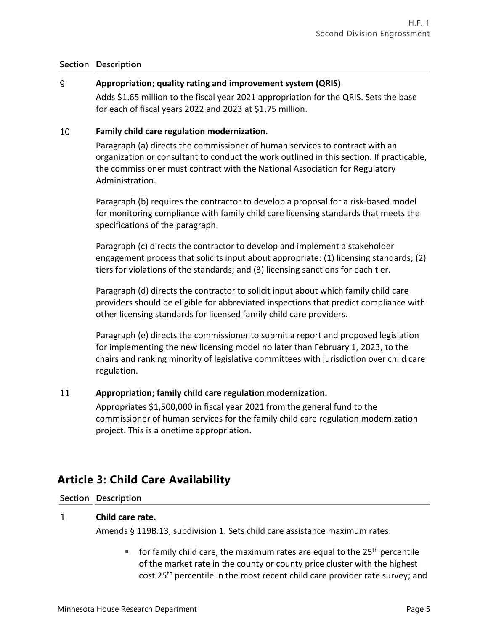### 9 **Appropriation; quality rating and improvement system (QRIS)**

Adds \$1.65 million to the fiscal year 2021 appropriation for the QRIS. Sets the base for each of fiscal years 2022 and 2023 at \$1.75 million.

#### 10 **Family child care regulation modernization.**

Paragraph (a) directs the commissioner of human services to contract with an organization or consultant to conduct the work outlined in this section. If practicable, the commissioner must contract with the National Association for Regulatory Administration.

Paragraph (b) requires the contractor to develop a proposal for a risk-based model for monitoring compliance with family child care licensing standards that meets the specifications of the paragraph.

Paragraph (c) directs the contractor to develop and implement a stakeholder engagement process that solicits input about appropriate: (1) licensing standards; (2) tiers for violations of the standards; and (3) licensing sanctions for each tier.

Paragraph (d) directs the contractor to solicit input about which family child care providers should be eligible for abbreviated inspections that predict compliance with other licensing standards for licensed family child care providers.

Paragraph (e) directs the commissioner to submit a report and proposed legislation for implementing the new licensing model no later than February 1, 2023, to the chairs and ranking minority of legislative committees with jurisdiction over child care regulation.

### 11 **Appropriation; family child care regulation modernization.**

Appropriates \$1,500,000 in fiscal year 2021 from the general fund to the commissioner of human services for the family child care regulation modernization project. This is a onetime appropriation.

# **Article 3: Child Care Availability**

## **Section Description**

#### $\mathbf{1}$ **Child care rate.**

Amends § 119B.13, subdivision 1. Sets child care assistance maximum rates:

 $\blacksquare$  for family child care, the maximum rates are equal to the 25<sup>th</sup> percentile of the market rate in the county or county price cluster with the highest cost 25th percentile in the most recent child care provider rate survey; and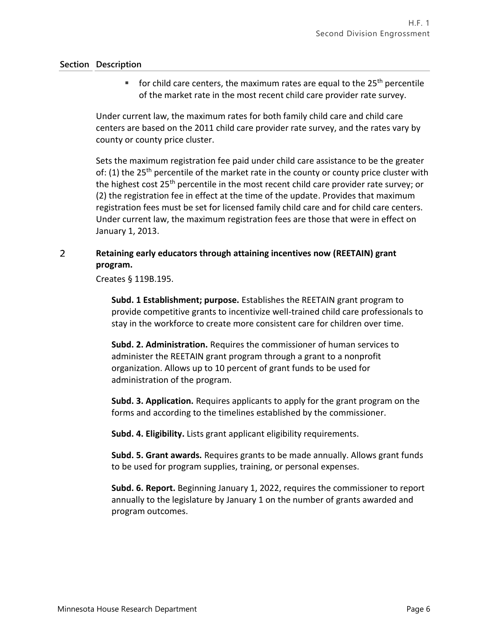$\blacksquare$  for child care centers, the maximum rates are equal to the 25<sup>th</sup> percentile of the market rate in the most recent child care provider rate survey.

Under current law, the maximum rates for both family child care and child care centers are based on the 2011 child care provider rate survey, and the rates vary by county or county price cluster.

Sets the maximum registration fee paid under child care assistance to be the greater of: (1) the  $25<sup>th</sup>$  percentile of the market rate in the county or county price cluster with the highest cost 25<sup>th</sup> percentile in the most recent child care provider rate survey; or (2) the registration fee in effect at the time of the update. Provides that maximum registration fees must be set for licensed family child care and for child care centers. Under current law, the maximum registration fees are those that were in effect on January 1, 2013.

### $\overline{2}$ **Retaining early educators through attaining incentives now (REETAIN) grant program.**

Creates § 119B.195.

**Subd. 1 Establishment; purpose.** Establishes the REETAIN grant program to provide competitive grants to incentivize well-trained child care professionals to stay in the workforce to create more consistent care for children over time.

**Subd. 2. Administration.** Requires the commissioner of human services to administer the REETAIN grant program through a grant to a nonprofit organization. Allows up to 10 percent of grant funds to be used for administration of the program.

**Subd. 3. Application.** Requires applicants to apply for the grant program on the forms and according to the timelines established by the commissioner.

**Subd. 4. Eligibility.** Lists grant applicant eligibility requirements.

**Subd. 5. Grant awards.** Requires grants to be made annually. Allows grant funds to be used for program supplies, training, or personal expenses.

**Subd. 6. Report.** Beginning January 1, 2022, requires the commissioner to report annually to the legislature by January 1 on the number of grants awarded and program outcomes.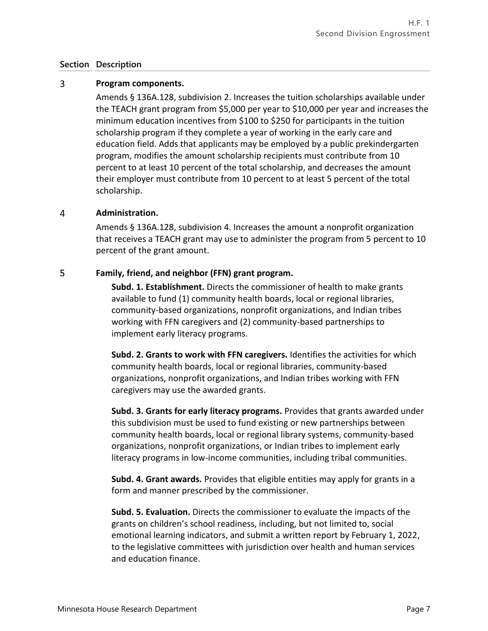### $\overline{3}$ **Program components.**

Amends § 136A.128, subdivision 2. Increases the tuition scholarships available under the TEACH grant program from \$5,000 per year to \$10,000 per year and increases the minimum education incentives from \$100 to \$250 for participants in the tuition scholarship program if they complete a year of working in the early care and education field. Adds that applicants may be employed by a public prekindergarten program, modifies the amount scholarship recipients must contribute from 10 percent to at least 10 percent of the total scholarship, and decreases the amount their employer must contribute from 10 percent to at least 5 percent of the total scholarship.

#### 4 **Administration.**

Amends § 136A.128, subdivision 4. Increases the amount a nonprofit organization that receives a TEACH grant may use to administer the program from 5 percent to 10 percent of the grant amount.

### 5 **Family, friend, and neighbor (FFN) grant program.**

**Subd. 1. Establishment.** Directs the commissioner of health to make grants available to fund (1) community health boards, local or regional libraries, community-based organizations, nonprofit organizations, and Indian tribes working with FFN caregivers and (2) community-based partnerships to implement early literacy programs.

**Subd. 2. Grants to work with FFN caregivers.** Identifies the activities for which community health boards, local or regional libraries, community-based organizations, nonprofit organizations, and Indian tribes working with FFN caregivers may use the awarded grants.

**Subd. 3. Grants for early literacy programs.** Provides that grants awarded under this subdivision must be used to fund existing or new partnerships between community health boards, local or regional library systems, community-based organizations, nonprofit organizations, or Indian tribes to implement early literacy programs in low-income communities, including tribal communities.

**Subd. 4. Grant awards.** Provides that eligible entities may apply for grants in a form and manner prescribed by the commissioner.

**Subd. 5. Evaluation.** Directs the commissioner to evaluate the impacts of the grants on children's school readiness, including, but not limited to, social emotional learning indicators, and submit a written report by February 1, 2022, to the legislative committees with jurisdiction over health and human services and education finance.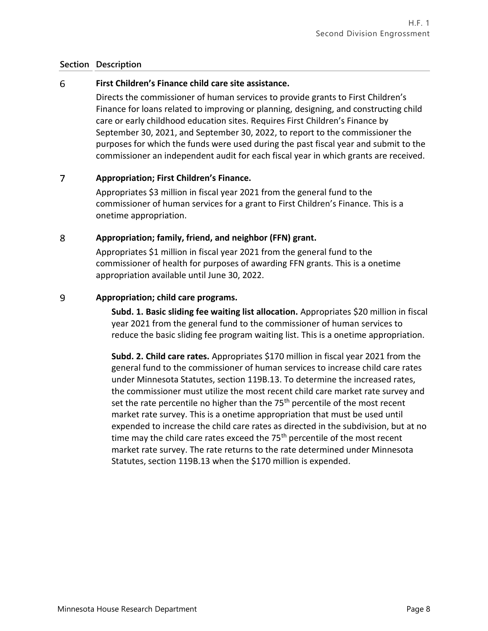### 6 **First Children's Finance child care site assistance.**

Directs the commissioner of human services to provide grants to First Children's Finance for loans related to improving or planning, designing, and constructing child care or early childhood education sites. Requires First Children's Finance by September 30, 2021, and September 30, 2022, to report to the commissioner the purposes for which the funds were used during the past fiscal year and submit to the commissioner an independent audit for each fiscal year in which grants are received.

### $\overline{7}$ **Appropriation; First Children's Finance.**

Appropriates \$3 million in fiscal year 2021 from the general fund to the commissioner of human services for a grant to First Children's Finance. This is a onetime appropriation.

#### 8 **Appropriation; family, friend, and neighbor (FFN) grant.**

Appropriates \$1 million in fiscal year 2021 from the general fund to the commissioner of health for purposes of awarding FFN grants. This is a onetime appropriation available until June 30, 2022.

### 9 **Appropriation; child care programs.**

**Subd. 1. Basic sliding fee waiting list allocation.** Appropriates \$20 million in fiscal year 2021 from the general fund to the commissioner of human services to reduce the basic sliding fee program waiting list. This is a onetime appropriation.

**Subd. 2. Child care rates.** Appropriates \$170 million in fiscal year 2021 from the general fund to the commissioner of human services to increase child care rates under Minnesota Statutes, section 119B.13. To determine the increased rates, the commissioner must utilize the most recent child care market rate survey and set the rate percentile no higher than the  $75<sup>th</sup>$  percentile of the most recent market rate survey. This is a onetime appropriation that must be used until expended to increase the child care rates as directed in the subdivision, but at no time may the child care rates exceed the 75<sup>th</sup> percentile of the most recent market rate survey. The rate returns to the rate determined under Minnesota Statutes, section 119B.13 when the \$170 million is expended.